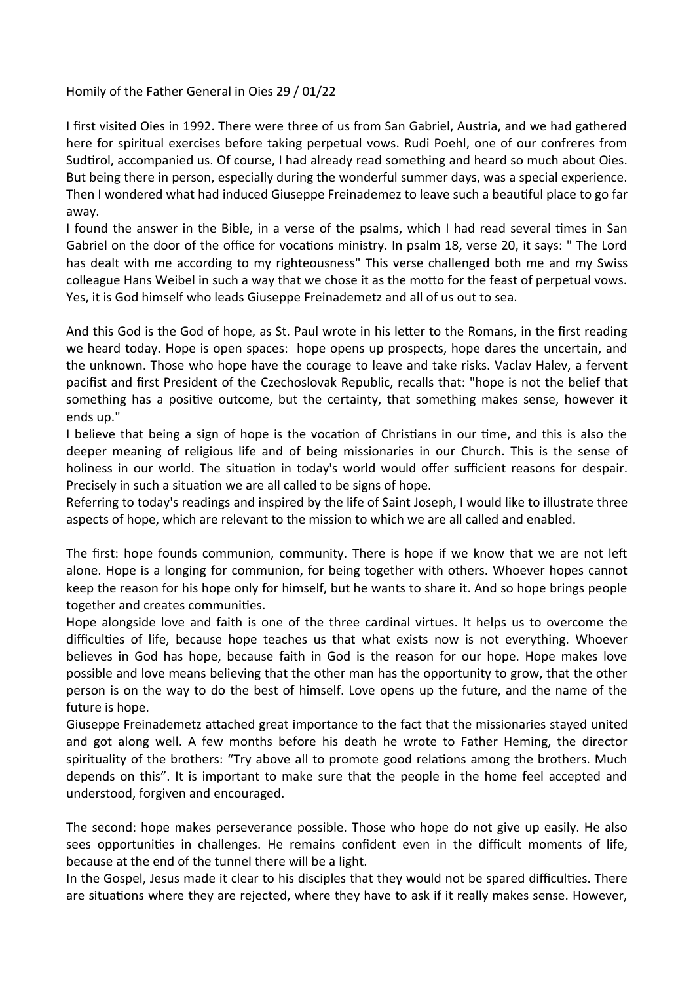Homily of the Father General in Oies 29 / 01/22

I first visited Oies in 1992. There were three of us from San Gabriel, Austria, and we had gathered here for spiritual exercises before taking perpetual vows. Rudi Poehl, one of our confreres from Sudtirol, accompanied us. Of course, I had already read something and heard so much about Oies. But being there in person, especially during the wonderful summer days, was a special experience. Then I wondered what had induced Giuseppe Freinademez to leave such a beautiful place to go far away.

I found the answer in the Bible, in a verse of the psalms, which I had read several times in San Gabriel on the door of the office for vocations ministry. In psalm 18, verse 20, it says: " The Lord has dealt with me according to my righteousness" This verse challenged both me and my Swiss colleague Hans Weibel in such a way that we chose it as the motto for the feast of perpetual vows. Yes, it is God himself who leads Giuseppe Freinademetz and all of us out to sea.

And this God is the God of hope, as St. Paul wrote in his letter to the Romans, in the first reading we heard today. Hope is open spaces: hope opens up prospects, hope dares the uncertain, and the unknown. Those who hope have the courage to leave and take risks. Vaclav Halev, a fervent pacifist and first President of the Czechoslovak Republic, recalls that: "hope is not the belief that something has a positive outcome, but the certainty, that something makes sense, however it ends up."

I believe that being a sign of hope is the vocation of Christians in our time, and this is also the deeper meaning of religious life and of being missionaries in our Church. This is the sense of holiness in our world. The situation in today's world would offer sufficient reasons for despair. Precisely in such a situation we are all called to be signs of hope.

Referring to today's readings and inspired by the life of Saint Joseph, I would like to illustrate three aspects of hope, which are relevant to the mission to which we are all called and enabled.

The first: hope founds communion, community. There is hope if we know that we are not left alone. Hope is a longing for communion, for being together with others. Whoever hopes cannot keep the reason for his hope only for himself, but he wants to share it. And so hope brings people together and creates communities.

Hope alongside love and faith is one of the three cardinal virtues. It helps us to overcome the difficulties of life, because hope teaches us that what exists now is not everything. Whoever believes in God has hope, because faith in God is the reason for our hope. Hope makes love possible and love means believing that the other man has the opportunity to grow, that the other person is on the way to do the best of himself. Love opens up the future, and the name of the future is hope.

Giuseppe Freinademetz attached great importance to the fact that the missionaries stayed united and got along well. A few months before his death he wrote to Father Heming, the director spirituality of the brothers: "Try above all to promote good relations among the brothers. Much depends on this". It is important to make sure that the people in the home feel accepted and understood, forgiven and encouraged.

The second: hope makes perseverance possible. Those who hope do not give up easily. He also sees opportunities in challenges. He remains confident even in the difficult moments of life, because at the end of the tunnel there will be a light.

In the Gospel, Jesus made it clear to his disciples that they would not be spared difficulties. There are situations where they are rejected, where they have to ask if it really makes sense. However,